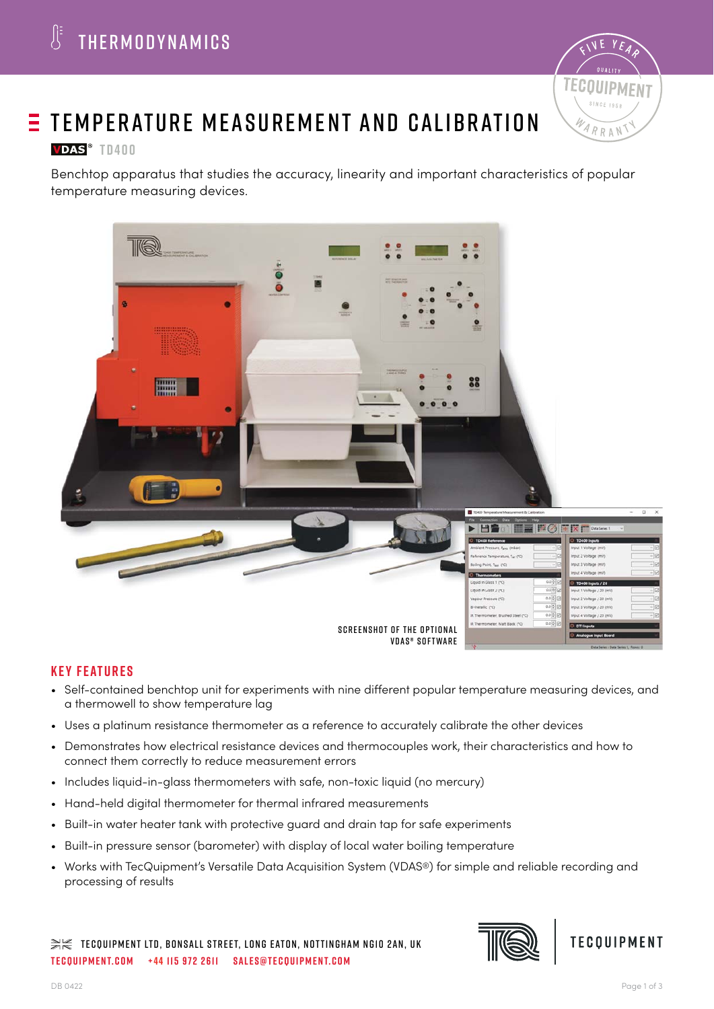

# $E$  TEMPERATURE MEASUREMENT AND CALIBRATION

## **VDAS**<sup>®</sup> TD400

Benchtop apparatus that studies the accuracy, linearity and important characteristics of popular temperature measuring devices.



## **Key features**

- Self-contained benchtop unit for experiments with nine different popular temperature measuring devices, and a thermowell to show temperature lag
- Uses a platinum resistance thermometer as a reference to accurately calibrate the other devices
- Demonstrates how electrical resistance devices and thermocouples work, their characteristics and how to connect them correctly to reduce measurement errors
- Includes liquid-in-glass thermometers with safe, non-toxic liquid (no mercury)
- Hand-held digital thermometer for thermal infrared measurements
- Built-in water heater tank with protective guard and drain tap for safe experiments
- Built-in pressure sensor (barometer) with display of local water boiling temperature
- Works with TecQuipment's Versatile Data Acquisition System (VDAS®) for simple and reliable recording and processing of results

 $\gg\ll$  tecquipment LTD, Bonsall Street, LONG EATON, NOTTINGHAM NG10 2AN, UK **tecquipment.com +44 115 972 2611 sales@tecquipment.com**



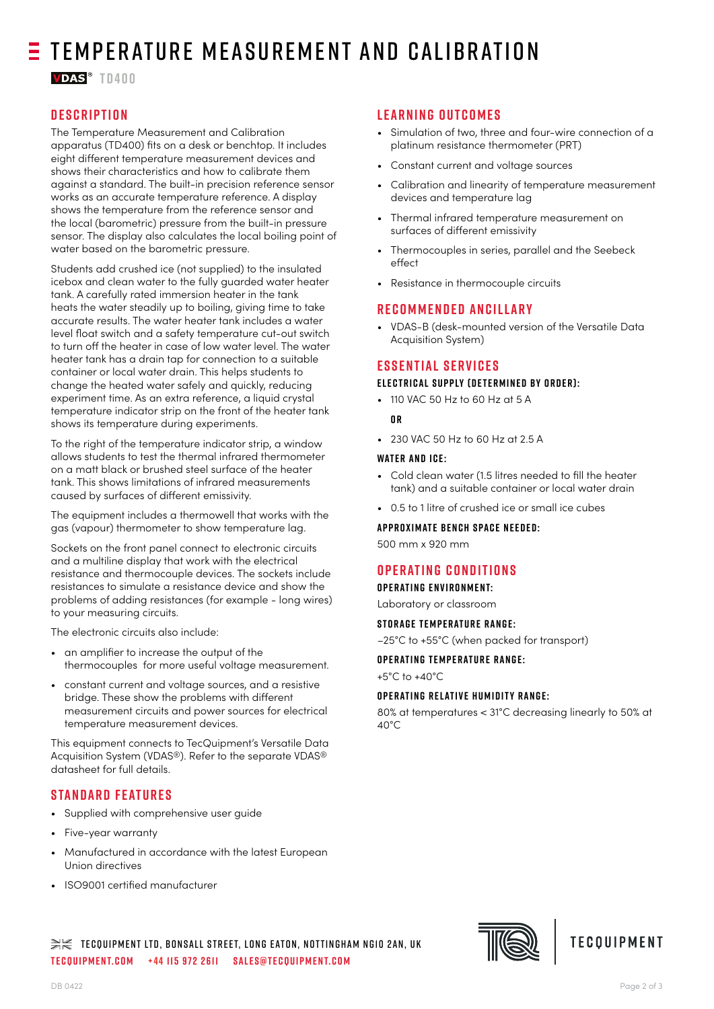# $\equiv$  TEMPERATURE MEASUREMENT AND CALIBRATION

**VDAS**<sup>®</sup> TN400

## **Description**

The Temperature Measurement and Calibration apparatus (TD400) fits on a desk or benchtop. It includes eight different temperature measurement devices and shows their characteristics and how to calibrate them against a standard. The built-in precision reference sensor works as an accurate temperature reference. A display shows the temperature from the reference sensor and the local (barometric) pressure from the built-in pressure sensor. The display also calculates the local boiling point of water based on the barometric pressure.

Students add crushed ice (not supplied) to the insulated icebox and clean water to the fully guarded water heater tank. A carefully rated immersion heater in the tank heats the water steadily up to boiling, giving time to take accurate results. The water heater tank includes a water level float switch and a safety temperature cut-out switch to turn off the heater in case of low water level. The water heater tank has a drain tap for connection to a suitable container or local water drain. This helps students to change the heated water safely and quickly, reducing experiment time. As an extra reference, a liquid crystal temperature indicator strip on the front of the heater tank shows its temperature during experiments.

To the right of the temperature indicator strip, a window allows students to test the thermal infrared thermometer on a matt black or brushed steel surface of the heater tank. This shows limitations of infrared measurements caused by surfaces of different emissivity.

The equipment includes a thermowell that works with the gas (vapour) thermometer to show temperature lag.

Sockets on the front panel connect to electronic circuits and a multiline display that work with the electrical resistance and thermocouple devices. The sockets include resistances to simulate a resistance device and show the problems of adding resistances (for example - long wires) to your measuring circuits.

The electronic circuits also include:

- an amplifier to increase the output of the thermocouples for more useful voltage measurement.
- constant current and voltage sources, and a resistive bridge. These show the problems with different measurement circuits and power sources for electrical temperature measurement devices.

This equipment connects to TecQuipment's Versatile Data Acquisition System (VDAS®). Refer to the separate VDAS® datasheet for full details.

## **Standard Features**

- Supplied with comprehensive user guide
- Five-year warranty
- Manufactured in accordance with the latest European Union directives
- ISO9001 certified manufacturer

## **Learning Outcomes**

- Simulation of two, three and four-wire connection of a platinum resistance thermometer (PRT)
- Constant current and voltage sources
- Calibration and linearity of temperature measurement devices and temperature lag
- Thermal infrared temperature measurement on surfaces of different emissivity
- Thermocouples in series, parallel and the Seebeck effect
- Resistance in thermocouple circuits

### **Recommended Ancillary**

• VDAS-B (desk-mounted version of the Versatile Data Acquisition System)

### **Essential Services**

#### **Electrical supply (determined by order):**

- 110 VAC 50 Hz to 60 Hz at 5 A
- **o r**
- 230 VAC 50 Hz to 60 Hz at 2.5 A

#### **Water and ice:**

- Cold clean water (1.5 litres needed to fill the heater tank) and a suitable container or local water drain
- 0.5 to 1 litre of crushed ice or small ice cubes

**APPROXIMATE BENCH SPACE NEEDED:** 

500 mm x 920 mm

## **Operating Conditions**

**O p e r at i n g e n v i r o n m e n t:** 

Laboratory or classroom

**STORAGE TEMPERATURE RANGE:** 

–25°C to +55°C (when packed for transport)

#### **OPERATING TEMPERATURE RANGE:**

+5°C to +40°C

#### **OPERATING RELATIVE HUMIDITY RANGE:**

80% at temperatures < 31°C decreasing linearly to 50% at 40°C